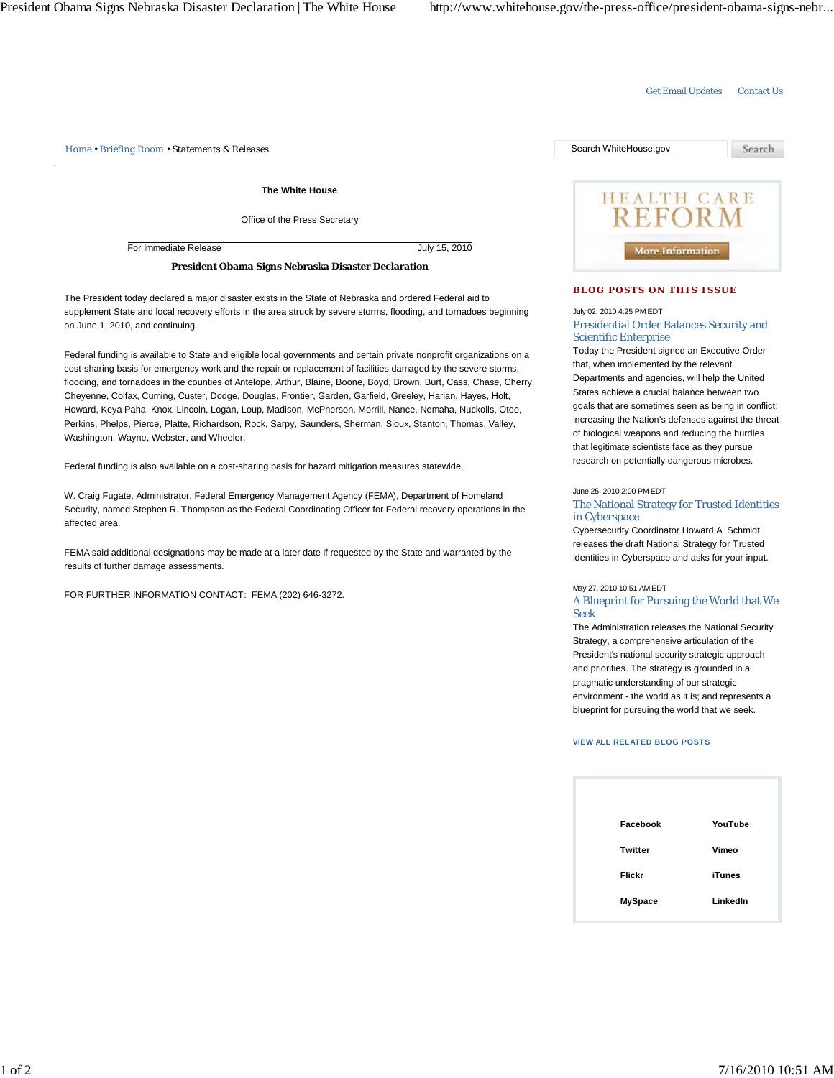## Get Email Updates | Contact Us

*Home • Briefing Room • Statements & Releases* Search WhiteHouse.gov

**The White House**

Office of the Press Secretary

For Immediate Release July 15, 2010

**President Obama Signs Nebraska Disaster Declaration**

The President today declared a major disaster exists in the State of Nebraska and ordered Federal aid to supplement State and local recovery efforts in the area struck by severe storms, flooding, and tornadoes beginning on June 1, 2010, and continuing.

Federal funding is available to State and eligible local governments and certain private nonprofit organizations on a cost-sharing basis for emergency work and the repair or replacement of facilities damaged by the severe storms, flooding, and tornadoes in the counties of Antelope, Arthur, Blaine, Boone, Boyd, Brown, Burt, Cass, Chase, Cherry, Cheyenne, Colfax, Cuming, Custer, Dodge, Douglas, Frontier, Garden, Garfield, Greeley, Harlan, Hayes, Holt, Howard, Keya Paha, Knox, Lincoln, Logan, Loup, Madison, McPherson, Morrill, Nance, Nemaha, Nuckolls, Otoe, Perkins, Phelps, Pierce, Platte, Richardson, Rock, Sarpy, Saunders, Sherman, Sioux, Stanton, Thomas, Valley, Washington, Wayne, Webster, and Wheeler.

Federal funding is also available on a cost-sharing basis for hazard mitigation measures statewide.

W. Craig Fugate, Administrator, Federal Emergency Management Agency (FEMA), Department of Homeland Security, named Stephen R. Thompson as the Federal Coordinating Officer for Federal recovery operations in the affected area.

FEMA said additional designations may be made at a later date if requested by the State and warranted by the results of further damage assessments.

FOR FURTHER INFORMATION CONTACT: FEMA (202) 646-3272.



## **BLOG POSTS ON THIS ISSUE**

July 02, 2010 4:25 PM EDT

Presidential Order Balances Security and Scientific Enterprise

Today the President signed an Executive Order that, when implemented by the relevant Departments and agencies, will help the United States achieve a crucial balance between two goals that are sometimes seen as being in conflict: Increasing the Nation's defenses against the threat of biological weapons and reducing the hurdles that legitimate scientists face as they pursue research on potentially dangerous microbes.

June 25, 2010 2:00 PM EDT

The National Strategy for Trusted Identities in Cyberspace

Cybersecurity Coordinator Howard A. Schmidt releases the draft National Strategy for Trusted Identities in Cyberspace and asks for your input.

## May 27, 2010 10:51 AM EDT

A Blueprint for Pursuing the World that We Seek

The Administration releases the National Security Strategy, a comprehensive articulation of the President's national security strategic approach and priorities. The strategy is grounded in a pragmatic understanding of our strategic environment - the world as it is; and represents a blueprint for pursuing the world that we seek.

## **VIEW ALL RELATED BLOG POSTS**

| Facebook       | YouTube       |
|----------------|---------------|
| <b>Twitter</b> | Vimeo         |
| <b>Flickr</b>  | <b>iTunes</b> |
| <b>MySpace</b> | LinkedIn      |